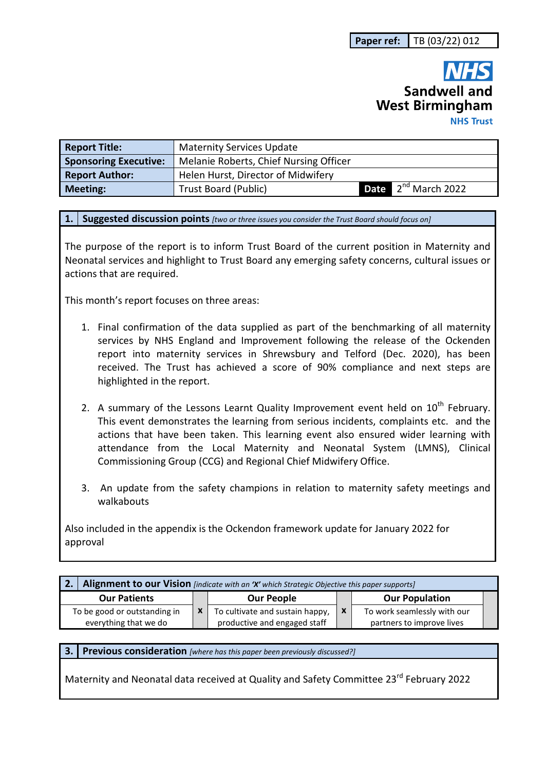# **Sandwell and West Birmingham NHS Trust**

| <b>Report Title:</b>         | <b>Maternity Services Update</b>       |                                 |
|------------------------------|----------------------------------------|---------------------------------|
| <b>Sponsoring Executive:</b> | Melanie Roberts, Chief Nursing Officer |                                 |
| <b>Report Author:</b>        | Helen Hurst, Director of Midwifery     |                                 |
| <b>Meeting:</b>              | <b>Trust Board (Public)</b>            | <b>Date</b> $2^{nd}$ March 2022 |

**1. Suggested discussion points** *[two or three issues you consider the Trust Board should focus on]* 

The purpose of the report is to inform Trust Board of the current position in Maternity and Neonatal services and highlight to Trust Board any emerging safety concerns, cultural issues or actions that are required.

This month's report focuses on three areas:

- 1. Final confirmation of the data supplied as part of the benchmarking of all maternity services by NHS England and Improvement following the release of the Ockenden report into maternity services in Shrewsbury and Telford (Dec. 2020), has been received. The Trust has achieved a score of 90% compliance and next steps are highlighted in the report.
- 2. A summary of the Lessons Learnt Quality Improvement event held on  $10^{th}$  February. This event demonstrates the learning from serious incidents, complaints etc. and the actions that have been taken. This learning event also ensured wider learning with attendance from the Local Maternity and Neonatal System (LMNS), Clinical Commissioning Group (CCG) and Regional Chief Midwifery Office.
- 3. An update from the safety champions in relation to maternity safety meetings and walkabouts

Also included in the appendix is the Ockendon framework update for January 2022 for approval

| Alignment to our Vision [indicate with an 'X' which Strategic Objective this paper supports] |  |                                 |             |                             |  |  |  |
|----------------------------------------------------------------------------------------------|--|---------------------------------|-------------|-----------------------------|--|--|--|
| <b>Our Patients</b>                                                                          |  | <b>Our People</b>               |             | <b>Our Population</b>       |  |  |  |
| To be good or outstanding in                                                                 |  | To cultivate and sustain happy, | $\mathbf x$ | To work seamlessly with our |  |  |  |
| everything that we do                                                                        |  | productive and engaged staff    |             | partners to improve lives   |  |  |  |

**3. Previous consideration** *[where has this paper been previously discussed?]*

Maternity and Neonatal data received at Quality and Safety Committee 23rd February 2022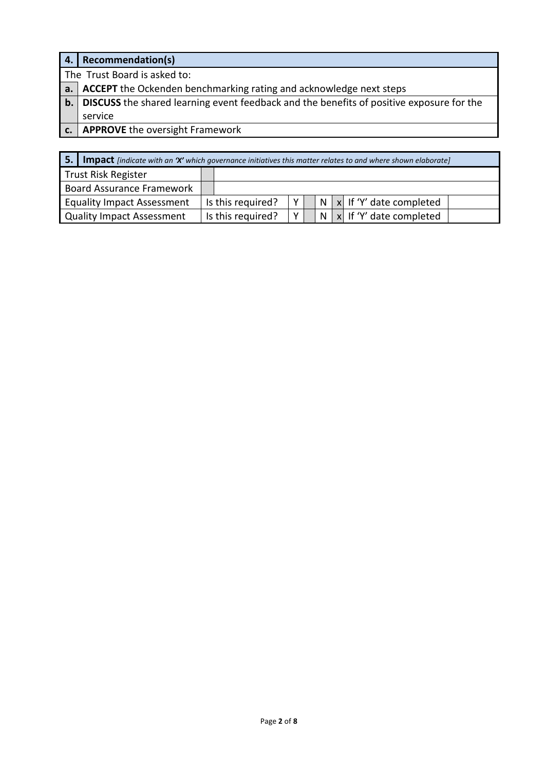| 4. | Recommendation(s)                                                                                  |  |  |  |  |
|----|----------------------------------------------------------------------------------------------------|--|--|--|--|
|    | The Trust Board is asked to:                                                                       |  |  |  |  |
|    | a.   ACCEPT the Ockenden benchmarking rating and acknowledge next steps                            |  |  |  |  |
|    | <b>b.</b> DISCUSS the shared learning event feedback and the benefits of positive exposure for the |  |  |  |  |
|    | service                                                                                            |  |  |  |  |
|    | <b>APPROVE</b> the oversight Framework                                                             |  |  |  |  |

| <b>5.</b> Impact <i>[indicate with an 'X' which governance initiatives this matter relates to and where shown elaborate]</i> |  |                   |              |  |  |  |                                  |
|------------------------------------------------------------------------------------------------------------------------------|--|-------------------|--------------|--|--|--|----------------------------------|
| Trust Risk Register                                                                                                          |  |                   |              |  |  |  |                                  |
| Board Assurance Framework                                                                                                    |  |                   |              |  |  |  |                                  |
| <b>Equality Impact Assessment</b>                                                                                            |  | Is this required? | v            |  |  |  | $N \mid x$ If 'Y' date completed |
| Quality Impact Assessment                                                                                                    |  | Is this required? | $\mathsf{v}$ |  |  |  | $N \times$ If 'Y' date completed |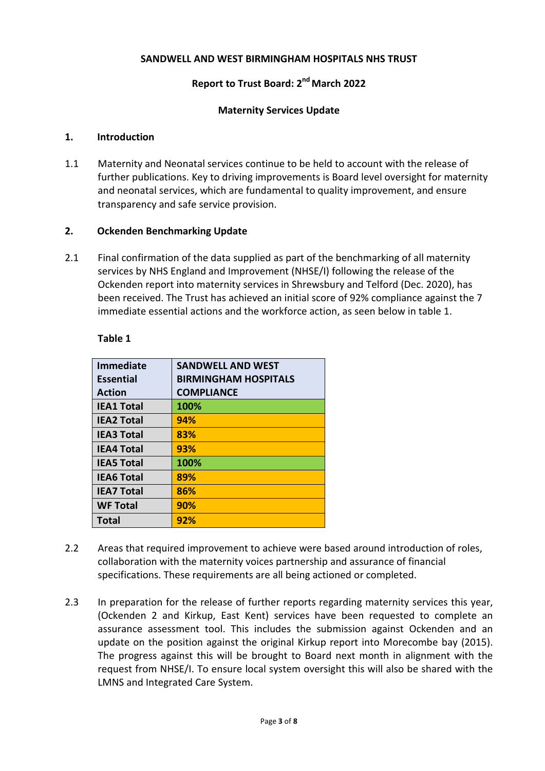#### **SANDWELL AND WEST BIRMINGHAM HOSPITALS NHS TRUST**

# **Report to Trust Board: 2nd March 2022**

#### **Maternity Services Update**

#### **1. Introduction**

1.1 Maternity and Neonatal services continue to be held to account with the release of further publications. Key to driving improvements is Board level oversight for maternity and neonatal services, which are fundamental to quality improvement, and ensure transparency and safe service provision.

#### **2. Ockenden Benchmarking Update**

2.1 Final confirmation of the data supplied as part of the benchmarking of all maternity services by NHS England and Improvement (NHSE/I) following the release of the Ockenden report into maternity services in Shrewsbury and Telford (Dec. 2020), has been received. The Trust has achieved an initial score of 92% compliance against the 7 immediate essential actions and the workforce action, as seen below in table 1.

| <b>SANDWELL AND WEST</b>    |
|-----------------------------|
| <b>BIRMINGHAM HOSPITALS</b> |
| <b>COMPLIANCE</b>           |
| 100%                        |
| 94%                         |
| 83%                         |
| 93%                         |
| 100%                        |
| 89%                         |
| 86%                         |
| 90%                         |
| 92%                         |
|                             |

#### **Table 1**

- 2.2 Areas that required improvement to achieve were based around introduction of roles, collaboration with the maternity voices partnership and assurance of financial specifications. These requirements are all being actioned or completed.
- 2.3 In preparation for the release of further reports regarding maternity services this year, (Ockenden 2 and Kirkup, East Kent) services have been requested to complete an assurance assessment tool. This includes the submission against Ockenden and an update on the position against the original Kirkup report into Morecombe bay (2015). The progress against this will be brought to Board next month in alignment with the request from NHSE/I. To ensure local system oversight this will also be shared with the LMNS and Integrated Care System.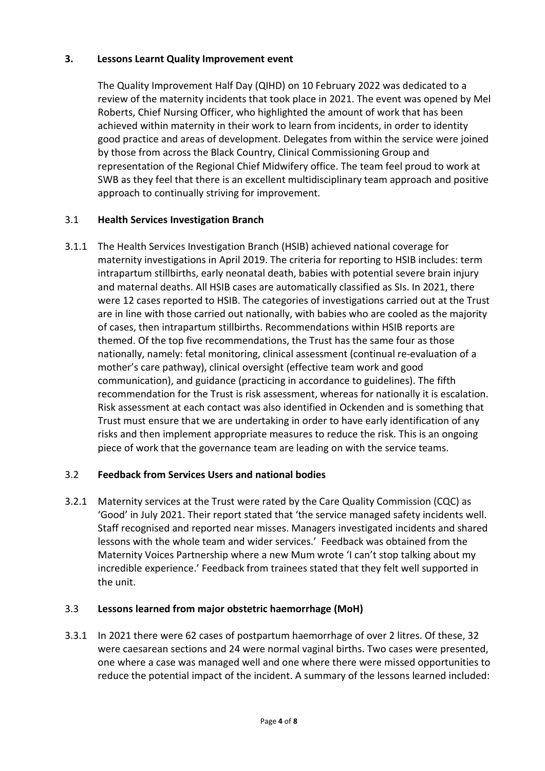# **3. Lessons Learnt Quality Improvement event**

The Quality Improvement Half Day (QIHD) on 10 February 2022 was dedicated to a review of the maternity incidents that took place in 2021. The event was opened by Mel Roberts, Chief Nursing Officer, who highlighted the amount of work that has been achieved within maternity in their work to learn from incidents, in order to identity good practice and areas of development. Delegates from within the service were joined by those from across the Black Country, Clinical Commissioning Group and representation of the Regional Chief Midwifery office. The team feel proud to work at SWB as they feel that there is an excellent multidisciplinary team approach and positive approach to continually striving for improvement.

# 3.1 **Health Services Investigation Branch**

3.1.1 The Health Services Investigation Branch (HSIB) achieved national coverage for maternity investigations in April 2019. The criteria for reporting to HSIB includes: term intrapartum stillbirths, early neonatal death, babies with potential severe brain injury and maternal deaths. All HSIB cases are automatically classified as SIs. In 2021, there were 12 cases reported to HSIB. The categories of investigations carried out at the Trust are in line with those carried out nationally, with babies who are cooled as the majority of cases, then intrapartum stillbirths. Recommendations within HSIB reports are themed. Of the top five recommendations, the Trust has the same four as those nationally, namely: fetal monitoring, clinical assessment (continual re-evaluation of a mother's care pathway), clinical oversight (effective team work and good communication), and guidance (practicing in accordance to guidelines). The fifth recommendation for the Trust is risk assessment, whereas for nationally it is escalation. Risk assessment at each contact was also identified in Ockenden and is something that Trust must ensure that we are undertaking in order to have early identification of any risks and then implement appropriate measures to reduce the risk. This is an ongoing piece of work that the governance team are leading on with the service teams.

## 3.2 **Feedback from Services Users and national bodies**

3.2.1 Maternity services at the Trust were rated by the Care Quality Commission (CQC) as 'Good' in July 2021. Their report stated that 'the service managed safety incidents well. Staff recognised and reported near misses. Managers investigated incidents and shared lessons with the whole team and wider services.' Feedback was obtained from the Maternity Voices Partnership where a new Mum wrote 'I can't stop talking about my incredible experience.' Feedback from trainees stated that they felt well supported in the unit.

## 3.3 **Lessons learned from major obstetric haemorrhage (MoH)**

3.3.1 In 2021 there were 62 cases of postpartum haemorrhage of over 2 litres. Of these, 32 were caesarean sections and 24 were normal vaginal births. Two cases were presented, one where a case was managed well and one where there were missed opportunities to reduce the potential impact of the incident. A summary of the lessons learned included: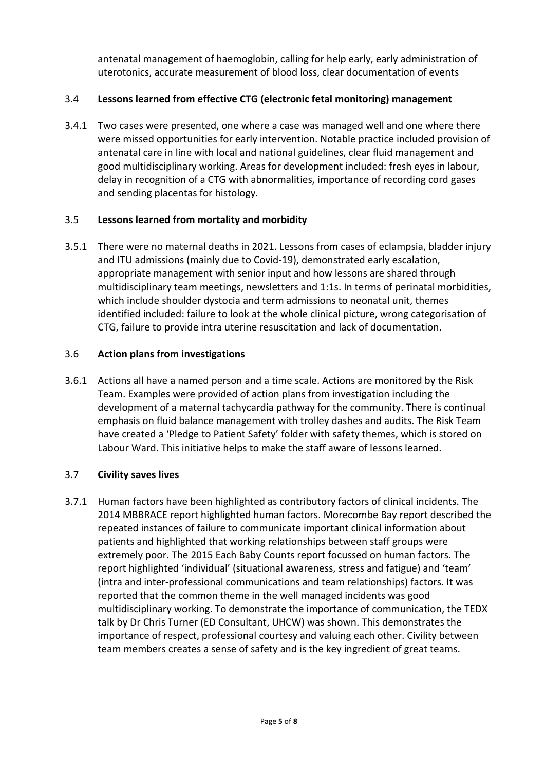antenatal management of haemoglobin, calling for help early, early administration of uterotonics, accurate measurement of blood loss, clear documentation of events

# 3.4 **Lessons learned from effective CTG (electronic fetal monitoring) management**

3.4.1 Two cases were presented, one where a case was managed well and one where there were missed opportunities for early intervention. Notable practice included provision of antenatal care in line with local and national guidelines, clear fluid management and good multidisciplinary working. Areas for development included: fresh eyes in labour, delay in recognition of a CTG with abnormalities, importance of recording cord gases and sending placentas for histology.

## 3.5 **Lessons learned from mortality and morbidity**

3.5.1 There were no maternal deaths in 2021. Lessons from cases of eclampsia, bladder injury and ITU admissions (mainly due to Covid-19), demonstrated early escalation, appropriate management with senior input and how lessons are shared through multidisciplinary team meetings, newsletters and 1:1s. In terms of perinatal morbidities, which include shoulder dystocia and term admissions to neonatal unit, themes identified included: failure to look at the whole clinical picture, wrong categorisation of CTG, failure to provide intra uterine resuscitation and lack of documentation.

#### 3.6 **Action plans from investigations**

3.6.1 Actions all have a named person and a time scale. Actions are monitored by the Risk Team. Examples were provided of action plans from investigation including the development of a maternal tachycardia pathway for the community. There is continual emphasis on fluid balance management with trolley dashes and audits. The Risk Team have created a 'Pledge to Patient Safety' folder with safety themes, which is stored on Labour Ward. This initiative helps to make the staff aware of lessons learned.

## 3.7 **Civility saves lives**

3.7.1 Human factors have been highlighted as contributory factors of clinical incidents. The 2014 MBBRACE report highlighted human factors. Morecombe Bay report described the repeated instances of failure to communicate important clinical information about patients and highlighted that working relationships between staff groups were extremely poor. The 2015 Each Baby Counts report focussed on human factors. The report highlighted 'individual' (situational awareness, stress and fatigue) and 'team' (intra and inter-professional communications and team relationships) factors. It was reported that the common theme in the well managed incidents was good multidisciplinary working. To demonstrate the importance of communication, the TEDX talk by Dr Chris Turner (ED Consultant, UHCW) was shown. This demonstrates the importance of respect, professional courtesy and valuing each other. Civility between team members creates a sense of safety and is the key ingredient of great teams.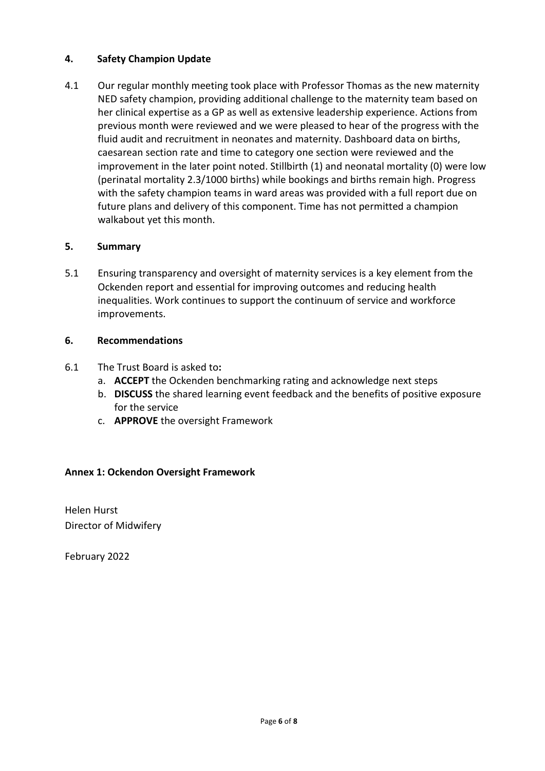# **4. Safety Champion Update**

4.1 Our regular monthly meeting took place with Professor Thomas as the new maternity NED safety champion, providing additional challenge to the maternity team based on her clinical expertise as a GP as well as extensive leadership experience. Actions from previous month were reviewed and we were pleased to hear of the progress with the fluid audit and recruitment in neonates and maternity. Dashboard data on births, caesarean section rate and time to category one section were reviewed and the improvement in the later point noted. Stillbirth (1) and neonatal mortality (0) were low (perinatal mortality 2.3/1000 births) while bookings and births remain high. Progress with the safety champion teams in ward areas was provided with a full report due on future plans and delivery of this component. Time has not permitted a champion walkabout yet this month.

## **5. Summary**

5.1 Ensuring transparency and oversight of maternity services is a key element from the Ockenden report and essential for improving outcomes and reducing health inequalities. Work continues to support the continuum of service and workforce improvements.

## **6. Recommendations**

- 6.1 The Trust Board is asked to**:** 
	- a. **ACCEPT** the Ockenden benchmarking rating and acknowledge next steps
	- b. **DISCUSS** the shared learning event feedback and the benefits of positive exposure for the service
	- c. **APPROVE** the oversight Framework

## **Annex 1: Ockendon Oversight Framework**

Helen Hurst Director of Midwifery

February 2022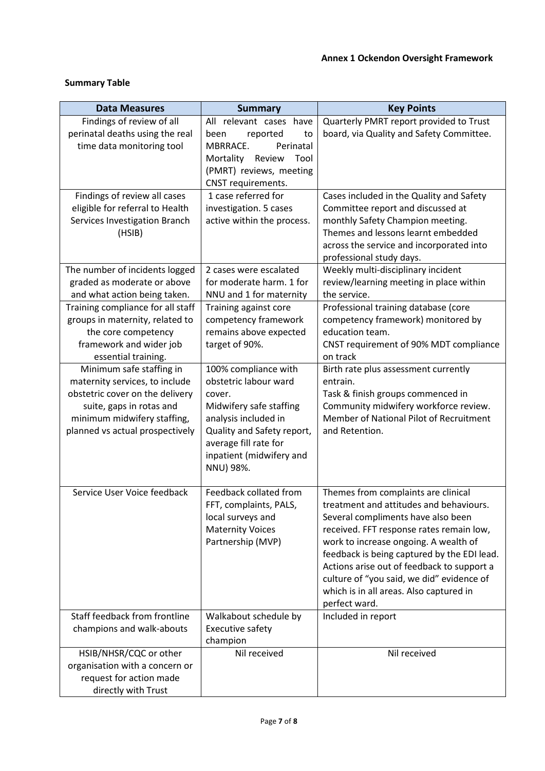# **Summary Table**

| <b>Data Measures</b>              | <b>Summary</b>                        | <b>Key Points</b>                           |
|-----------------------------------|---------------------------------------|---------------------------------------------|
| Findings of review of all         | All relevant cases have               | Quarterly PMRT report provided to Trust     |
| perinatal deaths using the real   | reported<br>been<br>to                | board, via Quality and Safety Committee.    |
| time data monitoring tool         | MBRRACE.<br>Perinatal                 |                                             |
|                                   | Mortality<br>Review<br>Tool           |                                             |
|                                   | (PMRT) reviews, meeting               |                                             |
|                                   | CNST requirements.                    |                                             |
| Findings of review all cases      | 1 case referred for                   | Cases included in the Quality and Safety    |
| eligible for referral to Health   | investigation. 5 cases                | Committee report and discussed at           |
| Services Investigation Branch     | active within the process.            | monthly Safety Champion meeting.            |
| (HSIB)                            |                                       | Themes and lessons learnt embedded          |
|                                   |                                       | across the service and incorporated into    |
|                                   |                                       | professional study days.                    |
| The number of incidents logged    | 2 cases were escalated                | Weekly multi-disciplinary incident          |
| graded as moderate or above       | for moderate harm. 1 for              | review/learning meeting in place within     |
| and what action being taken.      | NNU and 1 for maternity               | the service.                                |
| Training compliance for all staff | Training against core                 | Professional training database (core        |
| groups in maternity, related to   | competency framework                  | competency framework) monitored by          |
| the core competency               | remains above expected                | education team.                             |
| framework and wider job           | target of 90%.                        | CNST requirement of 90% MDT compliance      |
| essential training.               |                                       | on track                                    |
| Minimum safe staffing in          | 100% compliance with                  | Birth rate plus assessment currently        |
| maternity services, to include    | obstetric labour ward                 | entrain.                                    |
| obstetric cover on the delivery   | cover.                                | Task & finish groups commenced in           |
| suite, gaps in rotas and          | Midwifery safe staffing               | Community midwifery workforce review.       |
| minimum midwifery staffing,       | analysis included in                  | Member of National Pilot of Recruitment     |
| planned vs actual prospectively   | Quality and Safety report,            | and Retention.                              |
|                                   | average fill rate for                 |                                             |
|                                   | inpatient (midwifery and<br>NNU) 98%. |                                             |
|                                   |                                       |                                             |
| Service User Voice feedback       | Feedback collated from                | Themes from complaints are clinical         |
|                                   | FFT, complaints, PALS,                | treatment and attitudes and behaviours.     |
|                                   | local surveys and                     | Several compliments have also been          |
|                                   | <b>Maternity Voices</b>               | received. FFT response rates remain low,    |
|                                   | Partnership (MVP)                     | work to increase ongoing. A wealth of       |
|                                   |                                       | feedback is being captured by the EDI lead. |
|                                   |                                       | Actions arise out of feedback to support a  |
|                                   |                                       | culture of "you said, we did" evidence of   |
|                                   |                                       | which is in all areas. Also captured in     |
|                                   |                                       | perfect ward.                               |
| Staff feedback from frontline     | Walkabout schedule by                 | Included in report                          |
| champions and walk-abouts         | <b>Executive safety</b>               |                                             |
|                                   | champion                              |                                             |
| HSIB/NHSR/CQC or other            | Nil received                          | Nil received                                |
| organisation with a concern or    |                                       |                                             |
| request for action made           |                                       |                                             |
| directly with Trust               |                                       |                                             |